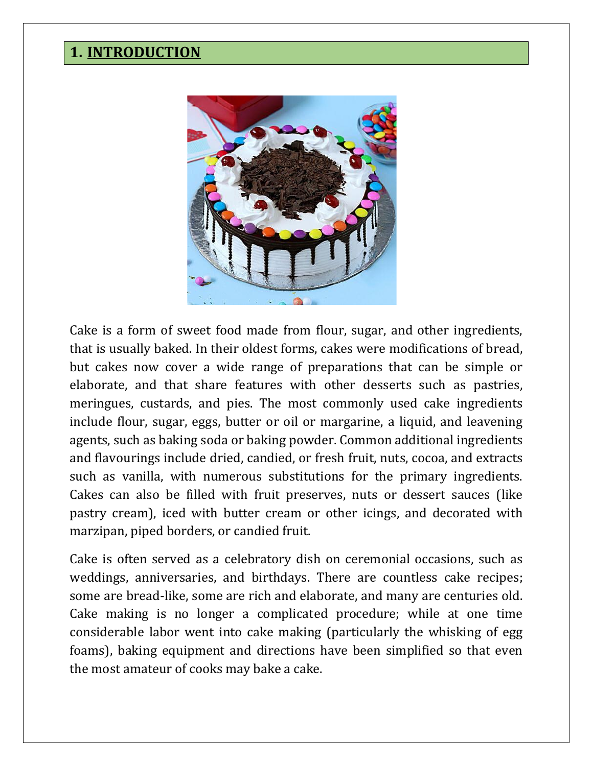### **1. INTRODUCTION**



Cake is a form of sweet food made from flour, sugar, and other ingredients, that is usually baked. In their oldest forms, cakes were modifications of bread, but cakes now cover a wide range of preparations that can be simple or elaborate, and that share features with other desserts such as pastries, meringues, custards, and pies. The most commonly used cake ingredients include flour, sugar, eggs, butter or oil or margarine, a liquid, and leavening agents, such as baking soda or baking powder. Common additional ingredients and flavourings include dried, candied, or fresh fruit, nuts, cocoa, and extracts such as vanilla, with numerous substitutions for the primary ingredients. Cakes can also be filled with fruit preserves, nuts or dessert sauces (like pastry cream), iced with butter cream or other icings, and decorated with marzipan, piped borders, or candied fruit.

Cake is often served as a celebratory dish on ceremonial occasions, such as weddings, anniversaries, and birthdays. There are countless cake recipes; some are bread-like, some are rich and elaborate, and many are centuries old. Cake making is no longer a complicated procedure; while at one time considerable labor went into cake making (particularly the whisking of egg foams), baking equipment and directions have been simplified so that even the most amateur of cooks may bake a cake.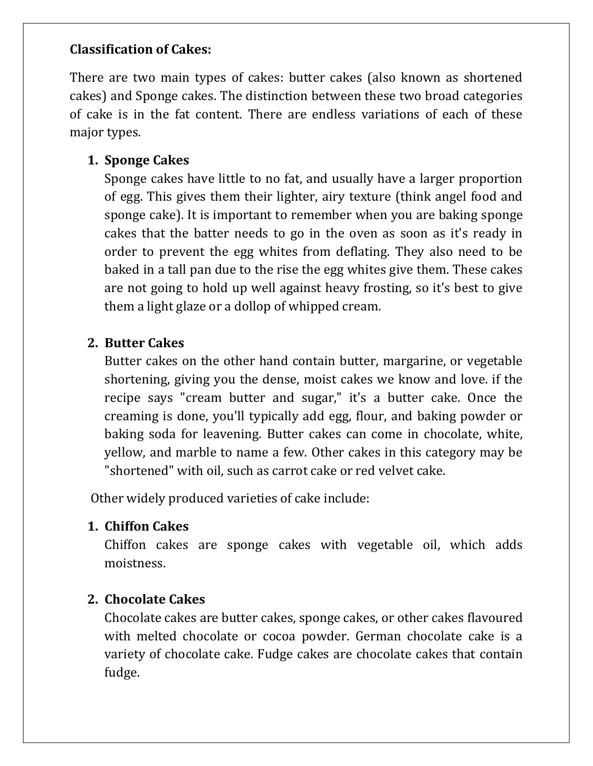#### **Classification of Cakes:**

There are two main types of cakes: butter cakes (also known as shortened cakes) and Sponge cakes. The distinction between these two broad categories of cake is in the fat content. There are endless variations of each of these major types.

#### **1. Sponge Cakes**

Sponge cakes have little to no fat, and usually have a larger proportion of egg. This gives them their lighter, airy texture (think angel food and sponge cake). It is important to remember when you are baking sponge cakes that the batter needs to go in the oven as soon as it's ready in order to prevent the egg whites from deflating. They also need to be baked in a tall pan due to the rise the egg whites give them. These cakes are not going to hold up well against heavy frosting, so it's best to give them a light glaze or a dollop of whipped cream.

#### **2. Butter Cakes**

Butter cakes on the other hand contain butter, margarine, or vegetable shortening, giving you the dense, moist cakes we know and love. if the recipe says "cream butter and sugar," it's a butter cake. Once the creaming is done, you'll typically add egg, flour, and baking powder or baking soda for leavening. Butter cakes can come in chocolate, white, yellow, and marble to name a few. Other cakes in this category may be "shortened" with oil, such as carrot cake or red velvet cake.

Other widely produced varieties of cake include:

#### **1. Chiffon Cakes**

Chiffon cakes are sponge cakes with vegetable oil, which adds moistness.

#### **2. Chocolate Cakes**

Chocolate cakes are butter cakes, sponge cakes, or other cakes flavoured with melted chocolate or cocoa powder. German chocolate cake is a variety of chocolate cake. Fudge cakes are chocolate cakes that contain fudge.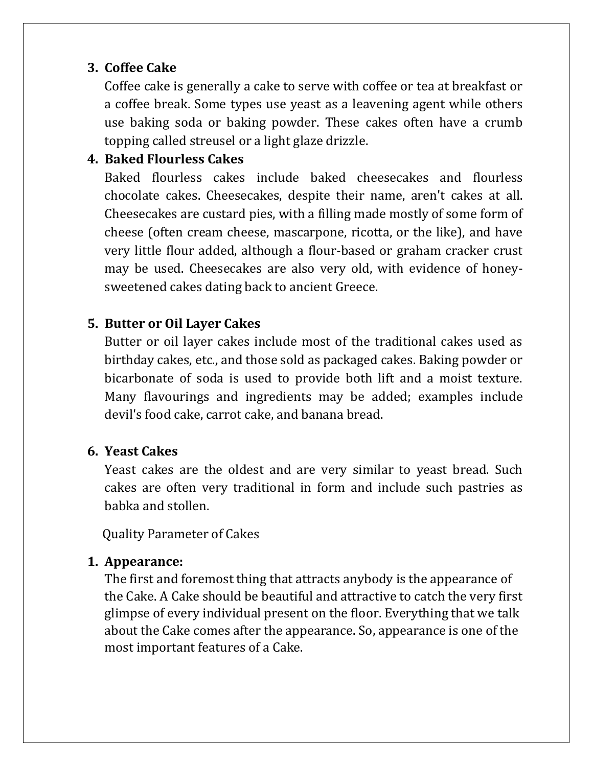#### **3. Coffee Cake**

Coffee cake is generally a cake to serve with coffee or tea at breakfast or a coffee break. Some types use yeast as a leavening agent while others use baking soda or baking powder. These cakes often have a crumb topping called streusel or a light glaze drizzle.

#### **4. Baked Flourless Cakes**

Baked flourless cakes include baked cheesecakes and flourless chocolate cakes. Cheesecakes, despite their name, aren't cakes at all. Cheesecakes are custard pies, with a filling made mostly of some form of cheese (often cream cheese, mascarpone, ricotta, or the like), and have very little flour added, although a flour-based or graham cracker crust may be used. Cheesecakes are also very old, with evidence of honeysweetened cakes dating back to ancient Greece.

#### **5. Butter or Oil Layer Cakes**

Butter or oil layer cakes include most of the traditional cakes used as birthday cakes, etc., and those sold as packaged cakes. Baking powder or bicarbonate of soda is used to provide both lift and a moist texture. Many flavourings and ingredients may be added; examples include devil's food cake, carrot cake, and banana bread.

#### **6. Yeast Cakes**

Yeast cakes are the oldest and are very similar to yeast bread. Such cakes are often very traditional in form and include such pastries as babka and stollen.

Quality Parameter of Cakes

#### **1. Appearance:**

The first and foremost thing that attracts anybody is the appearance of the Cake. A Cake should be beautiful and attractive to catch the very first glimpse of every individual present on the floor. Everything that we talk about the Cake comes after the appearance. So, appearance is one of the most important features of a Cake.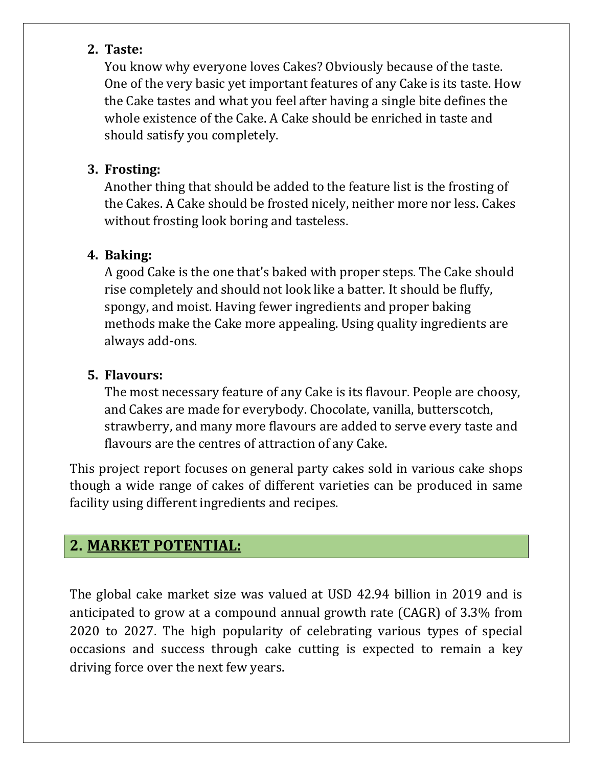#### **2. Taste:**

You know why everyone loves Cakes? Obviously because of the taste. One of the very basic yet important features of any Cake is its taste. How the Cake tastes and what you feel after having a single bite defines the whole existence of the Cake. A Cake should be enriched in taste and should satisfy you completely.

#### **3. Frosting:**

Another thing that should be added to the feature list is the frosting of the Cakes. A Cake should be frosted nicely, neither more nor less. Cakes without frosting look boring and tasteless.

#### **4. Baking:**

A good Cake is the one that's baked with proper steps. The Cake should rise completely and should not look like a batter. It should be fluffy, spongy, and moist. Having fewer ingredients and proper baking methods make the Cake more appealing. Using quality ingredients are always add-ons.

#### **5. Flavours:**

The most necessary feature of any Cake is its flavour. People are choosy, and Cakes are made for everybody. Chocolate, vanilla, butterscotch, strawberry, and many more flavours are added to serve every taste and flavours are the centres of attraction of any Cake.

This project report focuses on general party cakes sold in various cake shops though a wide range of cakes of different varieties can be produced in same facility using different ingredients and recipes.

## **2. MARKET POTENTIAL:**

The global cake market size was valued at USD 42.94 billion in 2019 and is anticipated to grow at a compound annual growth rate (CAGR) of 3.3% from 2020 to 2027. The high popularity of celebrating various types of special occasions and success through cake cutting is expected to remain a key driving force over the next few years.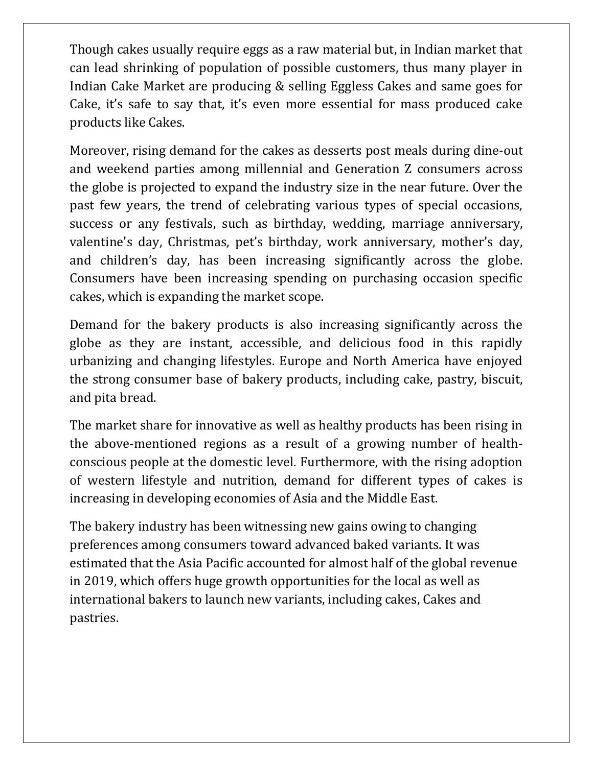Though cakes usually require eggs as a raw material but, in Indian market that can lead shrinking of population of possible customers, thus many player in Indian Cake Market are producing & selling Eggless Cakes and same goes for Cake, it's safe to say that, it's even more essential for mass produced cake products like Cakes.

Moreover, rising demand for the cakes as desserts post meals during dine-out and weekend parties among millennial and Generation Z consumers across the globe is projected to expand the industry size in the near future. Over the past few years, the trend of celebrating various types of special occasions, success or any festivals, such as birthday, wedding, marriage anniversary, valentine's day, Christmas, pet's birthday, work anniversary, mother's day, and children's day, has been increasing significantly across the globe. Consumers have been increasing spending on purchasing occasion specific cakes, which is expanding the market scope.

Demand for the bakery products is also increasing significantly across the globe as they are instant, accessible, and delicious food in this rapidly urbanizing and changing lifestyles. Europe and North America have enjoyed the strong consumer base of bakery products, including cake, pastry, biscuit, and pita bread.

The market share for innovative as well as healthy products has been rising in the above-mentioned regions as a result of a growing number of healthconscious people at the domestic level. Furthermore, with the rising adoption of western lifestyle and nutrition, demand for different types of cakes is increasing in developing economies of Asia and the Middle East.

The bakery industry has been witnessing new gains owing to changing preferences among consumers toward advanced baked variants. It was estimated that the Asia Pacific accounted for almost half of the global revenue in 2019, which offers huge growth opportunities for the local as well as international bakers to launch new variants, including cakes, Cakes and pastries.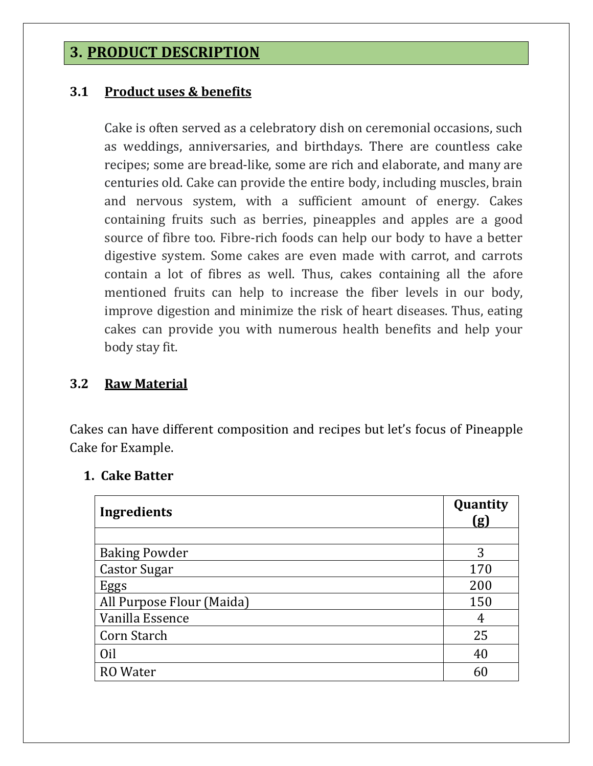### **3. PRODUCT DESCRIPTION**

#### **3.1 Product uses & benefits**

Cake is often served as a celebratory dish on ceremonial occasions, such as weddings, anniversaries, and birthdays. There are countless cake recipes; some are bread-like, some are rich and elaborate, and many are centuries old. Cake can provide the entire body, including muscles, brain and nervous system, with a sufficient amount of energy. Cakes containing fruits such as berries, pineapples and apples are a good source of fibre too. Fibre-rich foods can help our body to have a better digestive system. Some cakes are even made with carrot, and carrots contain a lot of fibres as well. Thus, cakes containing all the afore mentioned fruits can help to increase the fiber levels in our body, improve digestion and minimize the risk of heart diseases. Thus, eating cakes can provide you with numerous health benefits and help your body stay fit.

#### **3.2 Raw Material**

Cakes can have different composition and recipes but let's focus of Pineapple Cake for Example.

#### **1. Cake Batter**

| <b>Ingredients</b>        | Quantity<br>(g) |
|---------------------------|-----------------|
|                           |                 |
| <b>Baking Powder</b>      | 3               |
| <b>Castor Sugar</b>       | 170             |
| Eggs                      | 200             |
| All Purpose Flour (Maida) | 150             |
| Vanilla Essence           | 4               |
| Corn Starch               | 25              |
| Oil                       | 40              |
| RO Water                  | 61              |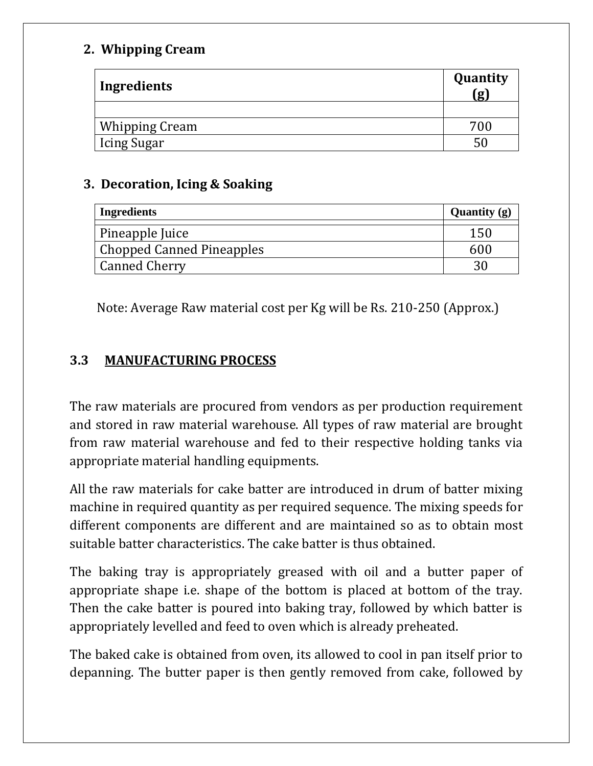#### **2. Whipping Cream**

| Ingredients           | Quantity<br>(g) |
|-----------------------|-----------------|
|                       |                 |
| <b>Whipping Cream</b> | 700             |
| Icing Sugar           |                 |

#### **3. Decoration, Icing & Soaking**

| <b>Ingredients</b>               | Quantity $(g)$ |
|----------------------------------|----------------|
| Pineapple Juice                  | 150            |
| <b>Chopped Canned Pineapples</b> | 600            |
| <b>Canned Cherry</b>             |                |

Note: Average Raw material cost per Kg will be Rs. 210-250 (Approx.)

#### **3.3 MANUFACTURING PROCESS**

The raw materials are procured from vendors as per production requirement and stored in raw material warehouse. All types of raw material are brought from raw material warehouse and fed to their respective holding tanks via appropriate material handling equipments.

All the raw materials for cake batter are introduced in drum of batter mixing machine in required quantity as per required sequence. The mixing speeds for different components are different and are maintained so as to obtain most suitable batter characteristics. The cake batter is thus obtained.

The baking tray is appropriately greased with oil and a butter paper of appropriate shape i.e. shape of the bottom is placed at bottom of the tray. Then the cake batter is poured into baking tray, followed by which batter is appropriately levelled and feed to oven which is already preheated.

The baked cake is obtained from oven, its allowed to cool in pan itself prior to depanning. The butter paper is then gently removed from cake, followed by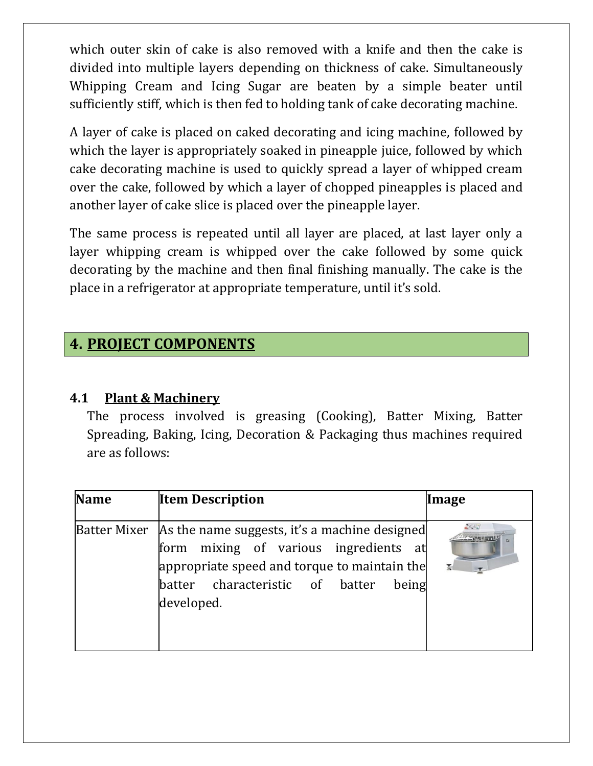which outer skin of cake is also removed with a knife and then the cake is divided into multiple layers depending on thickness of cake. Simultaneously Whipping Cream and Icing Sugar are beaten by a simple beater until sufficiently stiff, which is then fed to holding tank of cake decorating machine.

A layer of cake is placed on caked decorating and icing machine, followed by which the layer is appropriately soaked in pineapple juice, followed by which cake decorating machine is used to quickly spread a layer of whipped cream over the cake, followed by which a layer of chopped pineapples is placed and another layer of cake slice is placed over the pineapple layer.

The same process is repeated until all layer are placed, at last layer only a layer whipping cream is whipped over the cake followed by some quick decorating by the machine and then final finishing manually. The cake is the place in a refrigerator at appropriate temperature, until it's sold.

### **4. PROJECT COMPONENTS**

#### **4.1 Plant & Machinery**

The process involved is greasing (Cooking), Batter Mixing, Batter Spreading, Baking, Icing, Decoration & Packaging thus machines required are as follows:

| <b>Name</b> | <b>Item Description</b>                                                                                                                                                                                            | Image       |
|-------------|--------------------------------------------------------------------------------------------------------------------------------------------------------------------------------------------------------------------|-------------|
|             | Batter Mixer   As the name suggests, it's a machine designed<br>mixing of various ingredients at<br>form<br>appropriate speed and torque to maintain the<br>batter characteristic of batter<br>being<br>developed. | $E \circ C$ |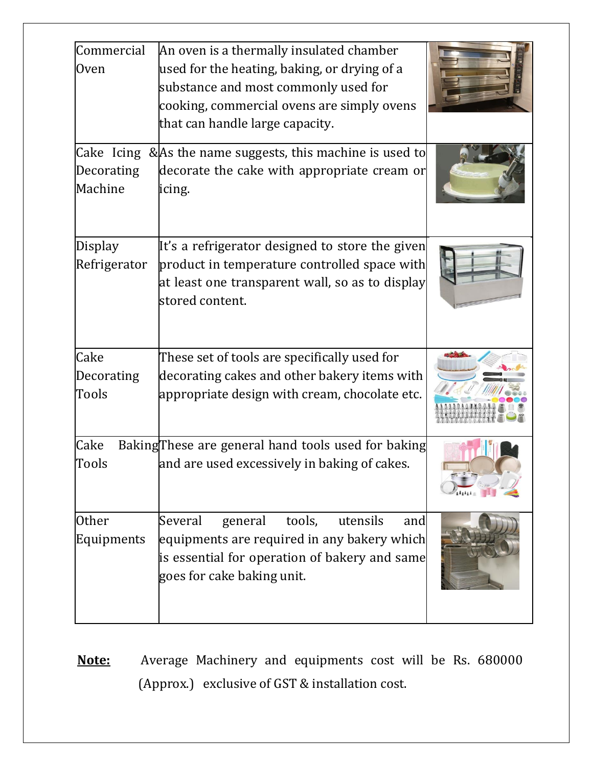| Commercial<br><b>Oven</b> | An oven is a thermally insulated chamber<br>used for the heating, baking, or drying of a<br>substance and most commonly used for<br>cooking, commercial ovens are simply ovens<br>that can handle large capacity. |  |
|---------------------------|-------------------------------------------------------------------------------------------------------------------------------------------------------------------------------------------------------------------|--|
|                           | Cake Icing & As the name suggests, this machine is used to                                                                                                                                                        |  |
| Decorating<br>Machine     | decorate the cake with appropriate cream or<br>icing.                                                                                                                                                             |  |
| Display<br>Refrigerator   | It's a refrigerator designed to store the given<br>product in temperature controlled space with<br>at least one transparent wall, so as to display<br>stored content.                                             |  |
| Cake                      | These set of tools are specifically used for                                                                                                                                                                      |  |
| Decorating<br>Tools       | decorating cakes and other bakery items with<br>appropriate design with cream, chocolate etc.                                                                                                                     |  |
| Cake                      | Baking These are general hand tools used for baking                                                                                                                                                               |  |
| Tools                     | and are used excessively in baking of cakes.                                                                                                                                                                      |  |
| <b>Other</b>              | Several<br>general<br>tools,<br>utensils<br>and                                                                                                                                                                   |  |
| Equipments                | equipments are required in any bakery which<br>is essential for operation of bakery and same<br>goes for cake baking unit.                                                                                        |  |

**Note:** Average Machinery and equipments cost will be Rs. 680000 (Approx.) exclusive of GST & installation cost.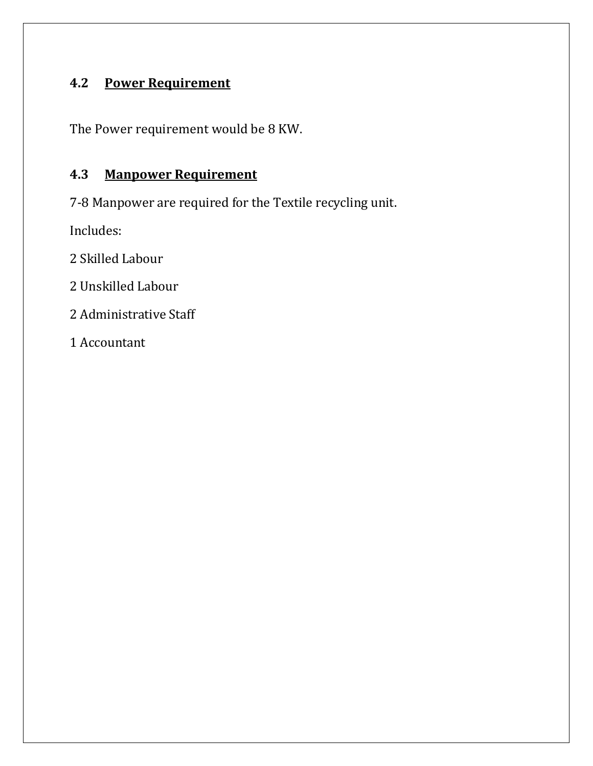# **4.2 Power Requirement**

The Power requirement would be 8 KW.

### **4.3 Manpower Requirement**

7-8 Manpower are required for the Textile recycling unit.

Includes:

2 Skilled Labour

2 Unskilled Labour

2 Administrative Staff

1 Accountant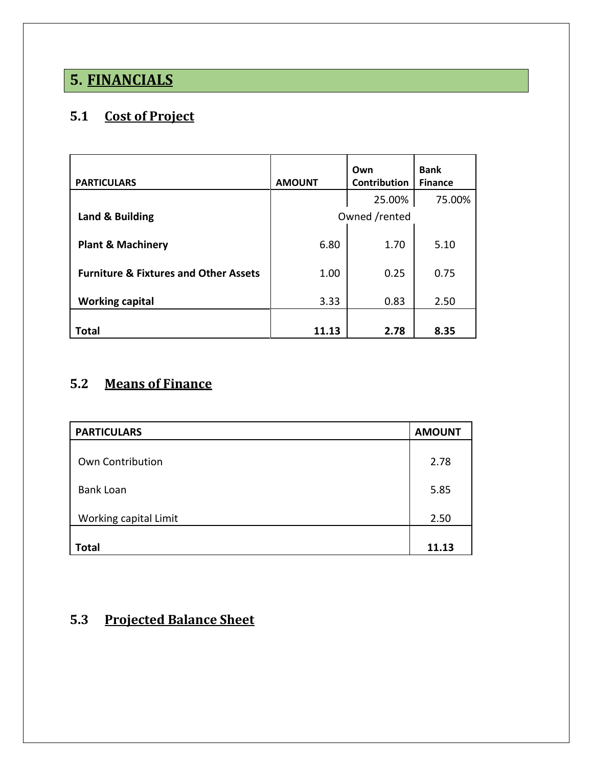# **5. FINANCIALS**

# **5.1 Cost of Project**

| <b>PARTICULARS</b>                               | <b>AMOUNT</b> | Own<br><b>Contribution</b> | <b>Bank</b><br><b>Finance</b> |  |
|--------------------------------------------------|---------------|----------------------------|-------------------------------|--|
|                                                  |               | 25.00%                     | 75.00%                        |  |
| Land & Building                                  | Owned /rented |                            |                               |  |
| <b>Plant &amp; Machinery</b>                     | 6.80          | 1.70                       | 5.10                          |  |
| <b>Furniture &amp; Fixtures and Other Assets</b> | 1.00          | 0.25                       | 0.75                          |  |
| <b>Working capital</b>                           | 3.33          | 0.83                       | 2.50                          |  |
| Total                                            | 11.13         | 2.78                       | 8.35                          |  |

## **5.2 Means of Finance**

| <b>PARTICULARS</b>    | <b>AMOUNT</b> |
|-----------------------|---------------|
| Own Contribution      | 2.78          |
| <b>Bank Loan</b>      | 5.85          |
| Working capital Limit | 2.50          |
| <b>Total</b>          | 11.13         |

### **5.3 Projected Balance Sheet**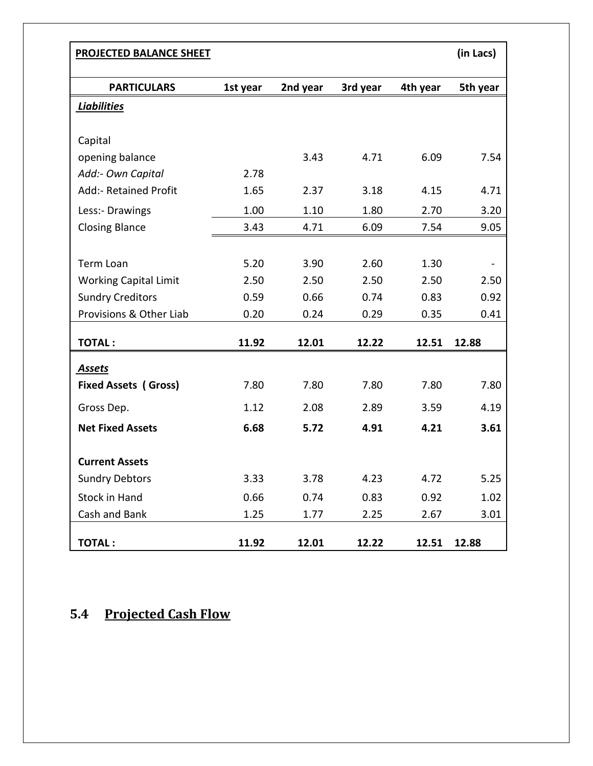| PROJECTED BALANCE SHEET      |          |          |          |          | (in Lacs) |
|------------------------------|----------|----------|----------|----------|-----------|
| <b>PARTICULARS</b>           | 1st year | 2nd year | 3rd year | 4th year | 5th year  |
| <b>Liabilities</b>           |          |          |          |          |           |
| Capital                      |          |          |          |          |           |
| opening balance              |          | 3.43     | 4.71     | 6.09     | 7.54      |
| Add:- Own Capital            | 2.78     |          |          |          |           |
| Add:- Retained Profit        | 1.65     | 2.37     | 3.18     | 4.15     | 4.71      |
|                              |          |          |          |          |           |
| Less:- Drawings              | 1.00     | 1.10     | 1.80     | 2.70     | 3.20      |
| <b>Closing Blance</b>        | 3.43     | 4.71     | 6.09     | 7.54     | 9.05      |
|                              |          |          |          |          |           |
| <b>Term Loan</b>             | 5.20     | 3.90     | 2.60     | 1.30     |           |
| <b>Working Capital Limit</b> | 2.50     | 2.50     | 2.50     | 2.50     | 2.50      |
| <b>Sundry Creditors</b>      | 0.59     | 0.66     | 0.74     | 0.83     | 0.92      |
| Provisions & Other Liab      | 0.20     | 0.24     | 0.29     | 0.35     | 0.41      |
| <b>TOTAL:</b>                | 11.92    | 12.01    | 12.22    | 12.51    | 12.88     |
|                              |          |          |          |          |           |
| <b>Assets</b>                |          |          |          |          |           |
| <b>Fixed Assets (Gross)</b>  | 7.80     | 7.80     | 7.80     | 7.80     | 7.80      |
| Gross Dep.                   | 1.12     | 2.08     | 2.89     | 3.59     | 4.19      |
| <b>Net Fixed Assets</b>      | 6.68     | 5.72     | 4.91     | 4.21     | 3.61      |
|                              |          |          |          |          |           |
| <b>Current Assets</b>        |          |          |          |          |           |
| <b>Sundry Debtors</b>        | 3.33     | 3.78     | 4.23     | 4.72     | 5.25      |
| <b>Stock in Hand</b>         | 0.66     | 0.74     | 0.83     | 0.92     | 1.02      |
| Cash and Bank                | 1.25     | 1.77     | 2.25     | 2.67     | 3.01      |
| <b>TOTAL:</b>                | 11.92    | 12.01    | 12.22    | 12.51    | 12.88     |

## **5.4 Projected Cash Flow**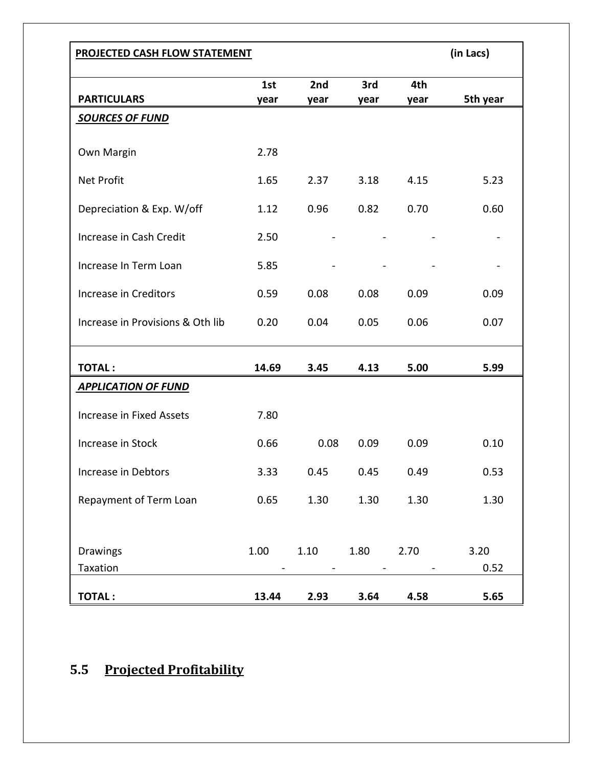| <b>PROJECTED CASH FLOW STATEMENT</b> |             |             |             |             | (in Lacs)    |
|--------------------------------------|-------------|-------------|-------------|-------------|--------------|
| <b>PARTICULARS</b>                   | 1st<br>year | 2nd<br>year | 3rd<br>year | 4th<br>year | 5th year     |
| <b>SOURCES OF FUND</b>               |             |             |             |             |              |
| Own Margin                           | 2.78        |             |             |             |              |
| <b>Net Profit</b>                    | 1.65        | 2.37        | 3.18        | 4.15        | 5.23         |
| Depreciation & Exp. W/off            | 1.12        | 0.96        | 0.82        | 0.70        | 0.60         |
| Increase in Cash Credit              | 2.50        |             |             |             |              |
| Increase In Term Loan                | 5.85        |             |             |             |              |
| Increase in Creditors                | 0.59        | 0.08        | 0.08        | 0.09        | 0.09         |
| Increase in Provisions & Oth lib     | 0.20        | 0.04        | 0.05        | 0.06        | 0.07         |
| <b>TOTAL:</b>                        | 14.69       | 3.45        | 4.13        | 5.00        | 5.99         |
| <b>APPLICATION OF FUND</b>           |             |             |             |             |              |
| Increase in Fixed Assets             | 7.80        |             |             |             |              |
| Increase in Stock                    | 0.66        | 0.08        | 0.09        | 0.09        | 0.10         |
| Increase in Debtors                  | 3.33        | 0.45        | 0.45        | 0.49        | 0.53         |
| Repayment of Term Loan               | 0.65        | 1.30        | 1.30        | 1.30        | 1.30         |
|                                      |             |             |             |             |              |
| Drawings<br>Taxation                 | 1.00        | 1.10        | 1.80        | 2.70        | 3.20<br>0.52 |

## **5.5 Projected Profitability**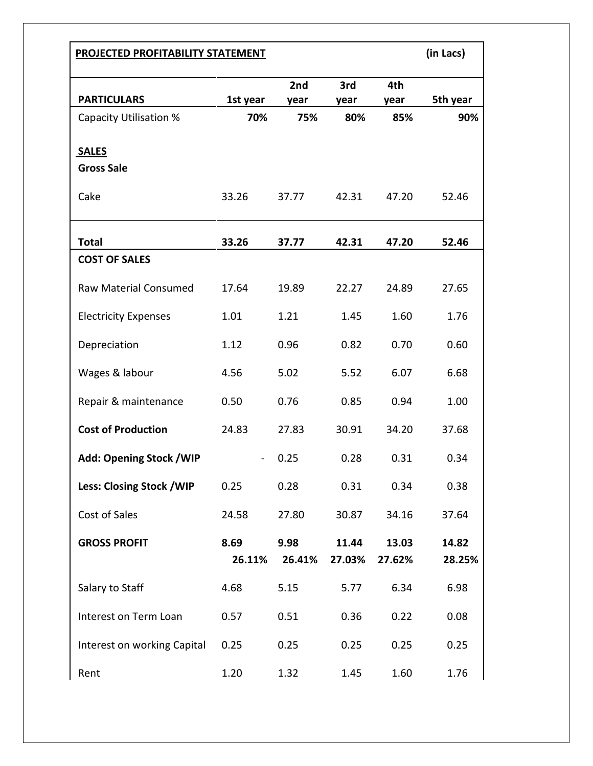| <b>PROJECTED PROFITABILITY STATEMENT</b> |          |                 |        |        | (in Lacs) |
|------------------------------------------|----------|-----------------|--------|--------|-----------|
|                                          |          | 2 <sub>nd</sub> | 3rd    | 4th    |           |
| <b>PARTICULARS</b>                       | 1st year | year            | year   | year   | 5th year  |
| <b>Capacity Utilisation %</b>            | 70%      | 75%             | 80%    | 85%    | 90%       |
| <b>SALES</b>                             |          |                 |        |        |           |
| <b>Gross Sale</b>                        |          |                 |        |        |           |
| Cake                                     | 33.26    | 37.77           | 42.31  | 47.20  | 52.46     |
| <b>Total</b>                             | 33.26    | 37.77           | 42.31  | 47.20  | 52.46     |
| <b>COST OF SALES</b>                     |          |                 |        |        |           |
| <b>Raw Material Consumed</b>             | 17.64    | 19.89           | 22.27  | 24.89  | 27.65     |
| <b>Electricity Expenses</b>              | 1.01     | 1.21            | 1.45   | 1.60   | 1.76      |
| Depreciation                             | 1.12     | 0.96            | 0.82   | 0.70   | 0.60      |
| Wages & labour                           | 4.56     | 5.02            | 5.52   | 6.07   | 6.68      |
| Repair & maintenance                     | 0.50     | 0.76            | 0.85   | 0.94   | 1.00      |
| <b>Cost of Production</b>                | 24.83    | 27.83           | 30.91  | 34.20  | 37.68     |
| Add: Opening Stock / WIP                 |          | 0.25            | 0.28   | 0.31   | 0.34      |
| Less: Closing Stock / WIP                | 0.25     | 0.28            | 0.31   | 0.34   | 0.38      |
| Cost of Sales                            | 24.58    | 27.80           | 30.87  | 34.16  | 37.64     |
| <b>GROSS PROFIT</b>                      | 8.69     | 9.98            | 11.44  | 13.03  | 14.82     |
|                                          | 26.11%   | 26.41%          | 27.03% | 27.62% | 28.25%    |
| Salary to Staff                          | 4.68     | 5.15            | 5.77   | 6.34   | 6.98      |
| Interest on Term Loan                    | 0.57     | 0.51            | 0.36   | 0.22   | 0.08      |
| Interest on working Capital              | 0.25     | 0.25            | 0.25   | 0.25   | 0.25      |
| Rent                                     | 1.20     | 1.32            | 1.45   | 1.60   | 1.76      |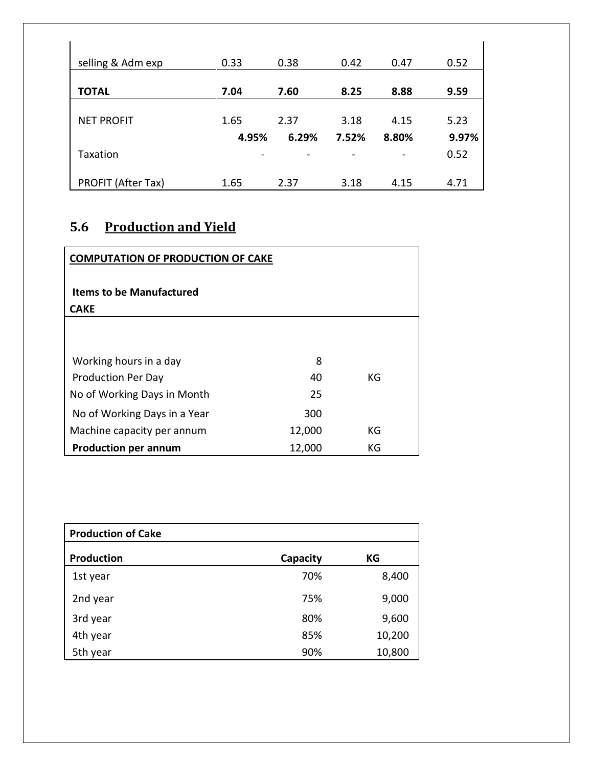| selling & Adm exp  | 0.33  | 0.38  | 0.42  | 0.47  | 0.52  |
|--------------------|-------|-------|-------|-------|-------|
|                    |       |       |       |       |       |
| <b>TOTAL</b>       | 7.04  | 7.60  | 8.25  | 8.88  | 9.59  |
|                    |       |       |       |       |       |
| <b>NET PROFIT</b>  | 1.65  | 2.37  | 3.18  | 4.15  | 5.23  |
|                    | 4.95% | 6.29% | 7.52% | 8.80% | 9.97% |
| Taxation           |       |       |       |       | 0.52  |
|                    |       |       |       |       |       |
| PROFIT (After Tax) | 1.65  | 2.37  | 3.18  | 4.15  | 4.71  |

# **5.6 Production and Yield**

| <b>COMPUTATION OF PRODUCTION OF CAKE</b>       |        |    |
|------------------------------------------------|--------|----|
| <b>Items to be Manufactured</b><br><b>CAKE</b> |        |    |
|                                                |        |    |
| Working hours in a day                         | 8      |    |
| <b>Production Per Day</b>                      | 40     | КG |
| No of Working Days in Month                    | 25     |    |
| No of Working Days in a Year                   | 300    |    |
| Machine capacity per annum                     | 12,000 | KG |
| <b>Production per annum</b>                    | 12,000 | KG |

| <b>Production of Cake</b> |          |        |
|---------------------------|----------|--------|
| <b>Production</b>         | Capacity | КG     |
| 1st year                  | 70%      | 8,400  |
| 2nd year                  | 75%      | 9,000  |
| 3rd year                  | 80%      | 9,600  |
| 4th year                  | 85%      | 10,200 |
| 5th year                  | 90%      | 10,800 |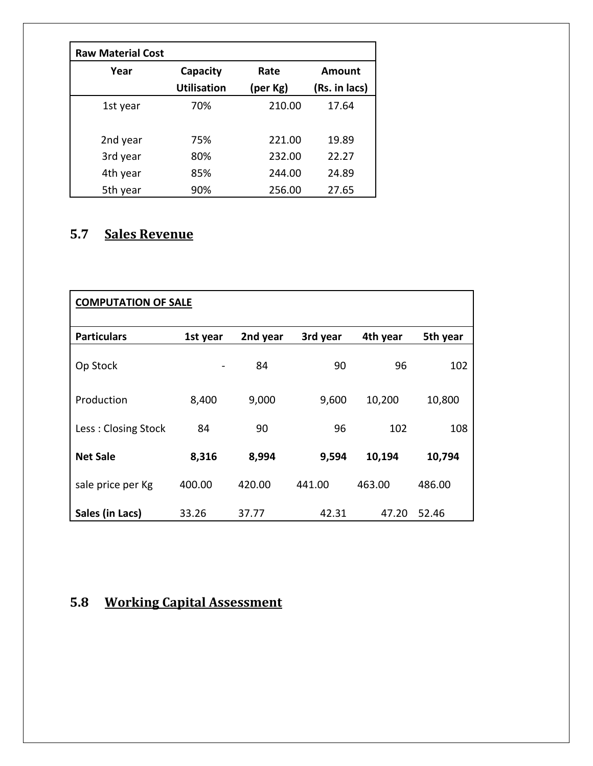| <b>Raw Material Cost</b> |                    |          |               |
|--------------------------|--------------------|----------|---------------|
| Year                     | Capacity           | Rate     | Amount        |
|                          | <b>Utilisation</b> | (per Kg) | (Rs. in lacs) |
| 1st year                 | 70%                | 210.00   | 17.64         |
|                          |                    |          |               |
| 2nd year                 | 75%                | 221.00   | 19.89         |
| 3rd year                 | 80%                | 232.00   | 22.27         |
| 4th year                 | 85%                | 244.00   | 24.89         |
| 5th year                 | 90%                | 256.00   | 27.65         |

# **5.7 Sales Revenue**

| <b>COMPUTATION OF SALE</b> |          |          |          |          |          |
|----------------------------|----------|----------|----------|----------|----------|
| <b>Particulars</b>         | 1st year | 2nd year | 3rd year | 4th year | 5th year |
| Op Stock                   |          | 84       | 90       | 96       | 102      |
| Production                 | 8,400    | 9,000    | 9,600    | 10,200   | 10,800   |
| Less: Closing Stock        | 84       | 90       | 96       | 102      | 108      |
| <b>Net Sale</b>            | 8,316    | 8,994    | 9,594    | 10,194   | 10,794   |
| sale price per Kg          | 400.00   | 420.00   | 441.00   | 463.00   | 486.00   |
| Sales (in Lacs)            | 33.26    | 37.77    | 42.31    | 47.20    | 52.46    |

# **5.8 Working Capital Assessment**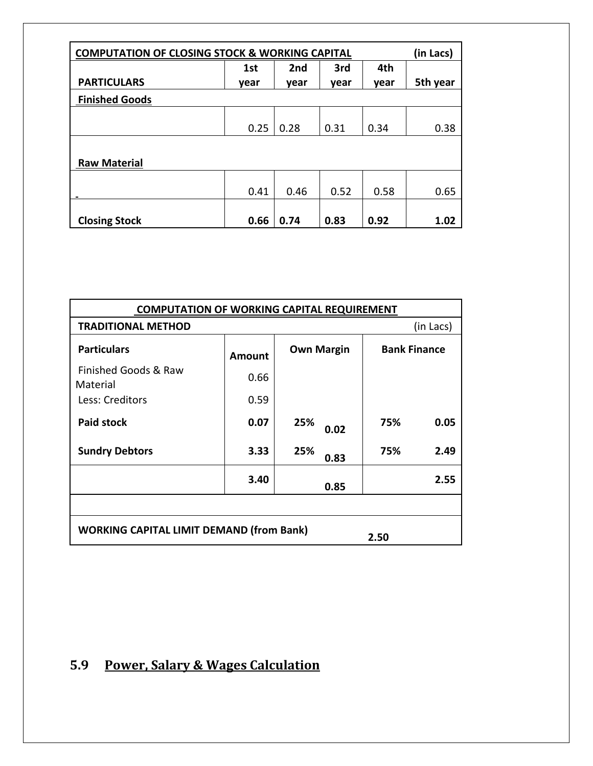| <b>COMPUTATION OF CLOSING STOCK &amp; WORKING CAPITAL</b> |      |      |      |      |          |
|-----------------------------------------------------------|------|------|------|------|----------|
|                                                           | 1st  | 2nd  | 3rd  | 4th  |          |
| <b>PARTICULARS</b>                                        | year | year | year | year | 5th year |
| <b>Finished Goods</b>                                     |      |      |      |      |          |
|                                                           | 0.25 | 0.28 | 0.31 | 0.34 | 0.38     |
| <b>Raw Material</b>                                       |      |      |      |      |          |
|                                                           | 0.41 | 0.46 | 0.52 | 0.58 | 0.65     |
| <b>Closing Stock</b>                                      | 0.66 | 0.74 | 0.83 | 0.92 | 1.02     |

|                                                         | <b>COMPUTATION OF WORKING CAPITAL REQUIREMENT</b> |                   |                     |           |  |
|---------------------------------------------------------|---------------------------------------------------|-------------------|---------------------|-----------|--|
| <b>TRADITIONAL METHOD</b>                               |                                                   |                   |                     | (in Lacs) |  |
| <b>Particulars</b>                                      | Amount                                            | <b>Own Margin</b> | <b>Bank Finance</b> |           |  |
| Finished Goods & Raw<br>Material                        | 0.66                                              |                   |                     |           |  |
| Less: Creditors                                         | 0.59                                              |                   |                     |           |  |
| <b>Paid stock</b>                                       | 0.07                                              | 25%<br>0.02       | 75%                 | 0.05      |  |
| <b>Sundry Debtors</b>                                   | 3.33                                              | 25%<br>0.83       | 75%                 | 2.49      |  |
|                                                         | 3.40                                              | 0.85              |                     | 2.55      |  |
|                                                         |                                                   |                   |                     |           |  |
| <b>WORKING CAPITAL LIMIT DEMAND (from Bank)</b><br>2.50 |                                                   |                   |                     |           |  |

# **5.9 Power, Salary & Wages Calculation**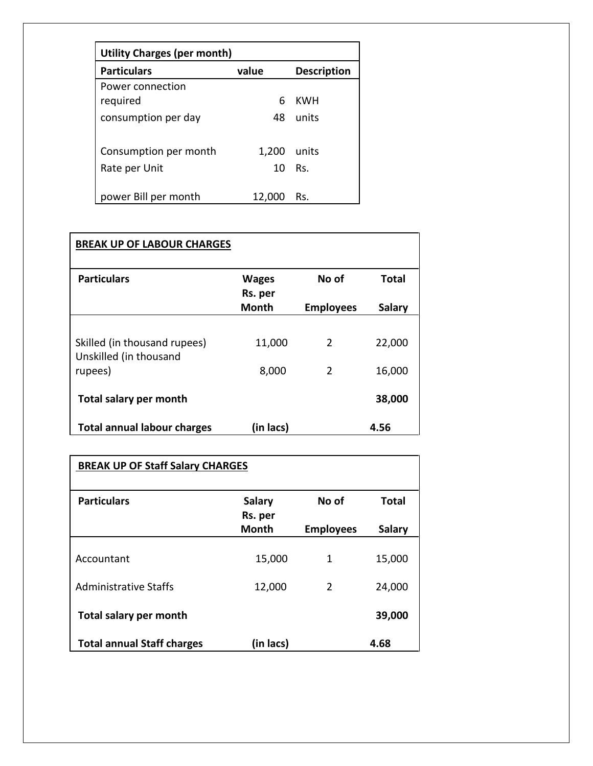| <b>Utility Charges (per month)</b> |       |                    |
|------------------------------------|-------|--------------------|
| <b>Particulars</b>                 | value | <b>Description</b> |
| Power connection                   |       |                    |
| required                           | 6     | KWH                |
| consumption per day                | 48    | units              |
| Consumption per month              | 1,200 | units              |
| Rate per Unit                      | 10    | Rs.                |
| power Bill per month               | 12,00 | Rs.                |

| <b>BREAK UP OF LABOUR CHARGES</b>                      |                         |                  |               |
|--------------------------------------------------------|-------------------------|------------------|---------------|
| <b>Particulars</b>                                     | <b>Wages</b><br>Rs. per | No of            | Total         |
|                                                        | <b>Month</b>            | <b>Employees</b> | <b>Salary</b> |
| Skilled (in thousand rupees)<br>Unskilled (in thousand | 11,000                  | 2                | 22,000        |
| rupees)                                                | 8,000                   | 2                | 16,000        |
| <b>Total salary per month</b>                          |                         |                  | 38,000        |
| <b>Total annual labour charges</b>                     | (in lacs)               |                  | 4.56          |

| <b>BREAK UP OF Staff Salary CHARGES</b> |                                   |                  |               |
|-----------------------------------------|-----------------------------------|------------------|---------------|
| <b>Particulars</b>                      | <b>Salary</b><br>Rs. per<br>Month | No of            | <b>Total</b>  |
|                                         |                                   | <b>Employees</b> | <b>Salary</b> |
| Accountant                              | 15,000                            | 1                | 15,000        |
| <b>Administrative Staffs</b>            | 12,000                            | $\mathcal{P}$    | 24,000        |
| Total salary per month                  |                                   |                  | 39,000        |
| <b>Total annual Staff charges</b>       | (in lacs)                         |                  | 4.68          |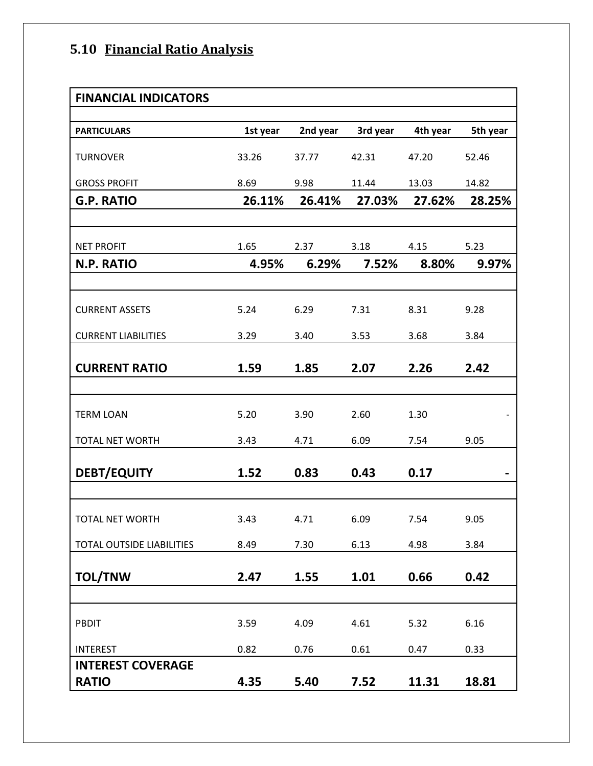# **5.10 Financial Ratio Analysis**

| <b>FINANCIAL INDICATORS</b> |          |          |          |          |          |
|-----------------------------|----------|----------|----------|----------|----------|
| <b>PARTICULARS</b>          | 1st year | 2nd year | 3rd year | 4th year | 5th year |
| <b>TURNOVER</b>             | 33.26    | 37.77    | 42.31    | 47.20    | 52.46    |
| <b>GROSS PROFIT</b>         | 8.69     | 9.98     | 11.44    | 13.03    | 14.82    |
| <b>G.P. RATIO</b>           | 26.11%   | 26.41%   | 27.03%   | 27.62%   | 28.25%   |
|                             |          |          |          |          |          |
| <b>NET PROFIT</b>           | 1.65     | 2.37     | 3.18     | 4.15     | 5.23     |
| <b>N.P. RATIO</b>           | 4.95%    | 6.29%    | 7.52%    | 8.80%    | 9.97%    |
|                             |          |          |          |          |          |
| <b>CURRENT ASSETS</b>       | 5.24     | 6.29     | 7.31     | 8.31     | 9.28     |
| <b>CURRENT LIABILITIES</b>  | 3.29     | 3.40     | 3.53     | 3.68     | 3.84     |
| <b>CURRENT RATIO</b>        | 1.59     | 1.85     | 2.07     | 2.26     | 2.42     |
|                             |          |          |          |          |          |
| <b>TERM LOAN</b>            | 5.20     | 3.90     | 2.60     | 1.30     |          |
| TOTAL NET WORTH             | 3.43     | 4.71     | 6.09     | 7.54     | 9.05     |
| <b>DEBT/EQUITY</b>          | 1.52     | 0.83     | 0.43     | 0.17     |          |
|                             |          |          |          |          |          |
| TOTAL NET WORTH             | 3.43     | 4.71     | 6.09     | 7.54     | 9.05     |
| TOTAL OUTSIDE LIABILITIES   | 8.49     | 7.30     | 6.13     | 4.98     | 3.84     |
| <b>TOL/TNW</b>              | 2.47     | 1.55     | 1.01     | 0.66     | 0.42     |
|                             |          |          |          |          |          |
| PBDIT                       | 3.59     | 4.09     | 4.61     | 5.32     | 6.16     |
| <b>INTEREST</b>             | 0.82     | 0.76     | 0.61     | 0.47     | 0.33     |
| <b>INTEREST COVERAGE</b>    |          |          |          |          |          |
| <b>RATIO</b>                | 4.35     | 5.40     | 7.52     | 11.31    | 18.81    |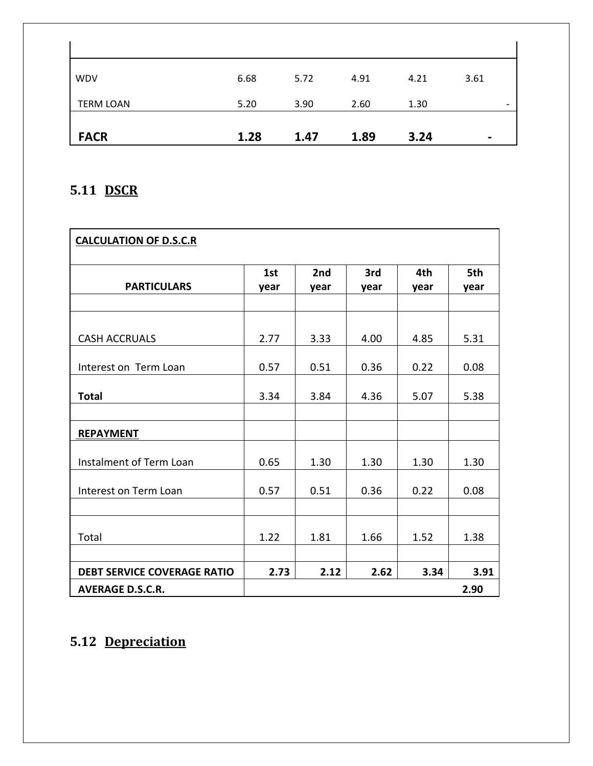| WDV              | 6.68 | 5.72 | 4.91 | 4.21 | 3.61           |
|------------------|------|------|------|------|----------------|
| <b>TERM LOAN</b> | 5.20 | 3.90 | 2.60 | 1.30 | -              |
| <b>FACR</b>      | 1.28 | 1.47 | 1.89 | 3.24 | $\blacksquare$ |

# **5.11 DSCR**

| <b>CALCULATION OF D.S.C.R</b>                 |              |              |              |              |              |
|-----------------------------------------------|--------------|--------------|--------------|--------------|--------------|
| <b>PARTICULARS</b>                            | 1st<br>year  | 2nd<br>year  | 3rd<br>year  | 4th<br>year  | 5th<br>year  |
|                                               |              |              |              |              |              |
| <b>CASH ACCRUALS</b><br>Interest on Term Loan | 2.77<br>0.57 | 3.33<br>0.51 | 4.00<br>0.36 | 4.85<br>0.22 | 5.31<br>0.08 |
| <b>Total</b>                                  | 3.34         | 3.84         | 4.36         | 5.07         | 5.38         |
| <b>REPAYMENT</b>                              |              |              |              |              |              |
| Instalment of Term Loan                       | 0.65         | 1.30         | 1.30         | 1.30         | 1.30         |
| Interest on Term Loan                         | 0.57         | 0.51         | 0.36         | 0.22         | 0.08         |
| Total                                         | 1.22         | 1.81         | 1.66         | 1.52         | 1.38         |
|                                               |              |              |              |              |              |
| <b>DEBT SERVICE COVERAGE RATIO</b>            | 2.73         | 2.12         | 2.62         | 3.34         | 3.91         |
| <b>AVERAGE D.S.C.R.</b>                       |              |              |              |              | 2.90         |

# **5.12 Depreciation**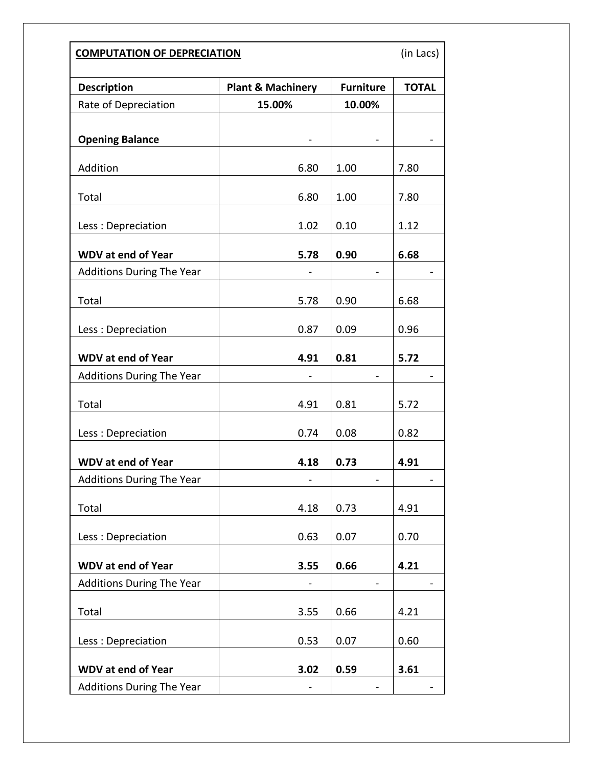| <b>COMPUTATION OF DEPRECIATION</b> |                              |                  |              |  |  |
|------------------------------------|------------------------------|------------------|--------------|--|--|
| <b>Description</b>                 | <b>Plant &amp; Machinery</b> | <b>Furniture</b> | <b>TOTAL</b> |  |  |
| Rate of Depreciation               | 15.00%                       | 10.00%           |              |  |  |
| <b>Opening Balance</b>             |                              |                  |              |  |  |
| Addition                           | 6.80                         | 1.00             | 7.80         |  |  |
| Total                              | 6.80                         | 1.00             | 7.80         |  |  |
| Less: Depreciation                 | 1.02                         | 0.10             | 1.12         |  |  |
| <b>WDV at end of Year</b>          | 5.78                         | 0.90             | 6.68         |  |  |
| <b>Additions During The Year</b>   |                              |                  |              |  |  |
| Total                              | 5.78                         | 0.90             | 6.68         |  |  |
| Less: Depreciation                 | 0.87                         | 0.09             | 0.96         |  |  |
| <b>WDV at end of Year</b>          | 4.91                         | 0.81             | 5.72         |  |  |
| <b>Additions During The Year</b>   |                              |                  |              |  |  |
| Total                              | 4.91                         | 0.81             | 5.72         |  |  |
| Less: Depreciation                 | 0.74                         | 0.08             | 0.82         |  |  |
| <b>WDV at end of Year</b>          | 4.18                         | 0.73             | 4.91         |  |  |
| <b>Additions During The Year</b>   |                              |                  |              |  |  |
| Total                              | 4.18                         | 0.73             | 4.91         |  |  |
| Less: Depreciation                 | 0.63                         | 0.07             | 0.70         |  |  |
| <b>WDV at end of Year</b>          | 3.55                         | 0.66             | 4.21         |  |  |
| <b>Additions During The Year</b>   |                              |                  |              |  |  |
| Total                              | 3.55                         | 0.66             | 4.21         |  |  |
| Less: Depreciation                 | 0.53                         | 0.07             | 0.60         |  |  |
| <b>WDV at end of Year</b>          | 3.02                         | 0.59             | 3.61         |  |  |
| <b>Additions During The Year</b>   |                              |                  |              |  |  |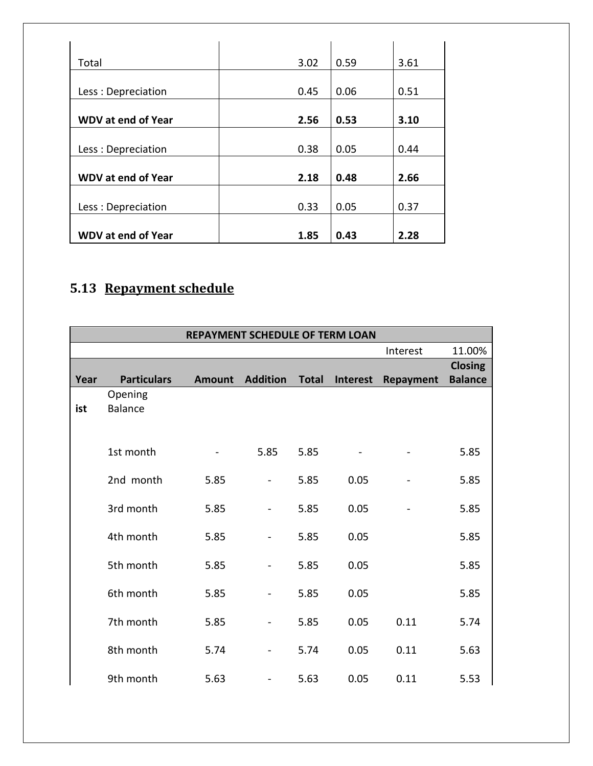| Total                     | 3.02 | 0.59 | 3.61 |
|---------------------------|------|------|------|
|                           |      |      |      |
| Less: Depreciation        | 0.45 | 0.06 | 0.51 |
|                           |      |      |      |
| <b>WDV at end of Year</b> | 2.56 | 0.53 | 3.10 |
|                           |      |      |      |
| Less: Depreciation        | 0.38 | 0.05 | 0.44 |
|                           |      |      |      |
| <b>WDV at end of Year</b> | 2.18 | 0.48 | 2.66 |
|                           |      |      |      |
| Less: Depreciation        | 0.33 | 0.05 | 0.37 |
|                           |      |      |      |
| <b>WDV at end of Year</b> | 1.85 | 0.43 | 2.28 |

# **5.13 Repayment schedule**

|      |                    | <b>REPAYMENT SCHEDULE OF TERM LOAN</b> |                 |              |          |                  |                |
|------|--------------------|----------------------------------------|-----------------|--------------|----------|------------------|----------------|
|      |                    |                                        |                 |              |          | Interest         | 11.00%         |
|      |                    |                                        |                 |              |          |                  | <b>Closing</b> |
| Year | <b>Particulars</b> | <b>Amount</b>                          | <b>Addition</b> | <b>Total</b> | Interest | <b>Repayment</b> | <b>Balance</b> |
|      | Opening            |                                        |                 |              |          |                  |                |
| ist  | <b>Balance</b>     |                                        |                 |              |          |                  |                |
|      |                    |                                        |                 |              |          |                  |                |
|      | 1st month          |                                        | 5.85            | 5.85         |          |                  | 5.85           |
|      |                    |                                        |                 |              |          |                  |                |
|      | 2nd month          | 5.85                                   |                 | 5.85         | 0.05     |                  | 5.85           |
|      | 3rd month          | 5.85                                   |                 | 5.85         | 0.05     |                  | 5.85           |
|      |                    |                                        |                 |              |          |                  |                |
|      | 4th month          | 5.85                                   |                 | 5.85         | 0.05     |                  | 5.85           |
|      | 5th month          | 5.85                                   |                 | 5.85         | 0.05     |                  | 5.85           |
|      |                    |                                        |                 |              |          |                  |                |
|      | 6th month          | 5.85                                   |                 | 5.85         | 0.05     |                  | 5.85           |
|      | 7th month          | 5.85                                   |                 | 5.85         | 0.05     | 0.11             | 5.74           |
|      |                    |                                        |                 |              |          |                  |                |
|      | 8th month          | 5.74                                   |                 | 5.74         | 0.05     | 0.11             | 5.63           |
|      |                    |                                        |                 |              |          |                  |                |
|      | 9th month          | 5.63                                   | -               | 5.63         | 0.05     | 0.11             | 5.53           |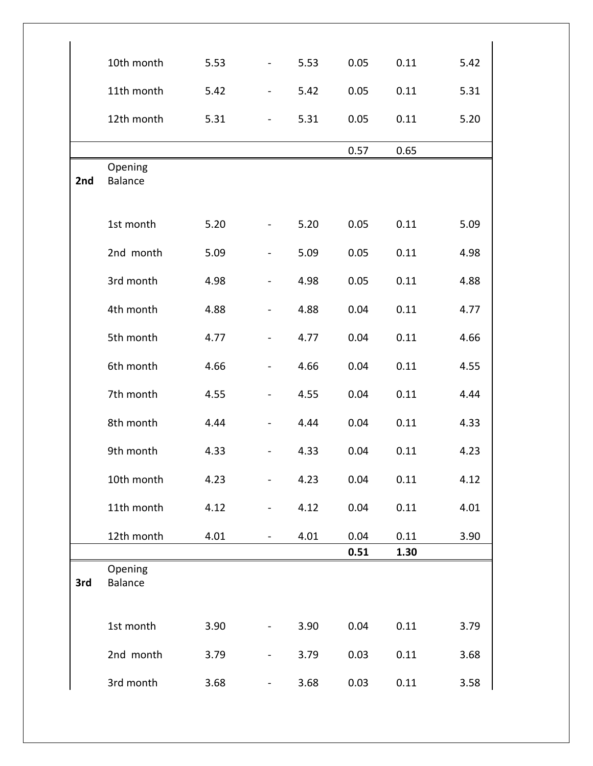|     | 10th month                | 5.53 |                          | 5.53 | 0.05 | 0.11 | 5.42 |
|-----|---------------------------|------|--------------------------|------|------|------|------|
|     | 11th month                | 5.42 | $\overline{\phantom{a}}$ | 5.42 | 0.05 | 0.11 | 5.31 |
|     | 12th month                | 5.31 | $\overline{\phantom{a}}$ | 5.31 | 0.05 | 0.11 | 5.20 |
|     |                           |      |                          |      | 0.57 | 0.65 |      |
| 2nd | Opening<br><b>Balance</b> |      |                          |      |      |      |      |
|     | 1st month                 | 5.20 |                          | 5.20 | 0.05 | 0.11 | 5.09 |
|     | 2nd month                 | 5.09 |                          | 5.09 | 0.05 | 0.11 | 4.98 |
|     | 3rd month                 | 4.98 | $\overline{\phantom{0}}$ | 4.98 | 0.05 | 0.11 | 4.88 |
|     | 4th month                 | 4.88 |                          | 4.88 | 0.04 | 0.11 | 4.77 |
|     | 5th month                 | 4.77 | $\blacksquare$           | 4.77 | 0.04 | 0.11 | 4.66 |
|     | 6th month                 | 4.66 |                          | 4.66 | 0.04 | 0.11 | 4.55 |
|     | 7th month                 | 4.55 | $\blacksquare$           | 4.55 | 0.04 | 0.11 | 4.44 |
|     | 8th month                 | 4.44 | $\blacksquare$           | 4.44 | 0.04 | 0.11 | 4.33 |
|     | 9th month                 | 4.33 |                          | 4.33 | 0.04 | 0.11 | 4.23 |
|     | 10th month                | 4.23 |                          | 4.23 | 0.04 | 0.11 | 4.12 |
|     | 11th month                | 4.12 |                          | 4.12 | 0.04 | 0.11 | 4.01 |
|     | 12th month                | 4.01 |                          | 4.01 | 0.04 | 0.11 | 3.90 |
|     |                           |      |                          |      | 0.51 | 1.30 |      |
| 3rd | Opening<br><b>Balance</b> |      |                          |      |      |      |      |
|     | 1st month                 | 3.90 |                          | 3.90 | 0.04 | 0.11 | 3.79 |
|     | 2nd month                 | 3.79 |                          | 3.79 | 0.03 | 0.11 | 3.68 |
|     | 3rd month                 | 3.68 |                          | 3.68 | 0.03 | 0.11 | 3.58 |

ï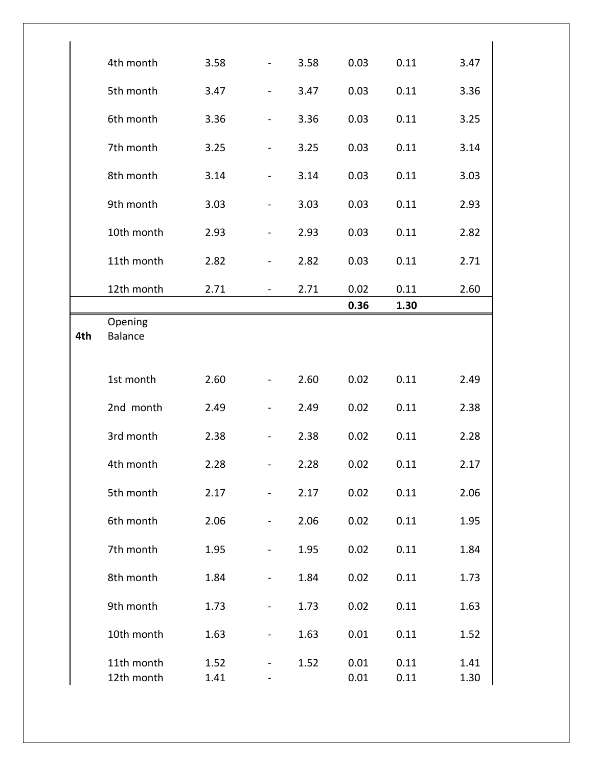|     | 4th month                 | 3.58         |                | 3.58 | 0.03         | 0.11         | 3.47         |
|-----|---------------------------|--------------|----------------|------|--------------|--------------|--------------|
|     | 5th month                 | 3.47         |                | 3.47 | 0.03         | 0.11         | 3.36         |
|     | 6th month                 | 3.36         |                | 3.36 | 0.03         | 0.11         | 3.25         |
|     | 7th month                 | 3.25         |                | 3.25 | 0.03         | 0.11         | 3.14         |
|     | 8th month                 | 3.14         |                | 3.14 | 0.03         | 0.11         | 3.03         |
|     | 9th month                 | 3.03         |                | 3.03 | 0.03         | 0.11         | 2.93         |
|     | 10th month                | 2.93         |                | 2.93 | 0.03         | 0.11         | 2.82         |
|     | 11th month                | 2.82         |                | 2.82 | 0.03         | 0.11         | 2.71         |
|     | 12th month                | 2.71         |                | 2.71 | 0.02         | 0.11         | 2.60         |
|     |                           |              |                |      | 0.36         | 1.30         |              |
| 4th | Opening<br><b>Balance</b> |              |                |      |              |              |              |
|     | 1st month                 | 2.60         |                | 2.60 | 0.02         | 0.11         | 2.49         |
|     | 2nd month                 | 2.49         |                | 2.49 | 0.02         | 0.11         | 2.38         |
|     | 3rd month                 | 2.38         |                | 2.38 | 0.02         | 0.11         | 2.28         |
|     | 4th month                 | 2.28         | $\blacksquare$ | 2.28 | 0.02         | 0.11         | 2.17         |
|     | 5th month                 | 2.17         |                | 2.17 | 0.02         | 0.11         | 2.06         |
|     | 6th month                 | 2.06         |                | 2.06 | 0.02         | 0.11         | 1.95         |
|     | 7th month                 | 1.95         |                | 1.95 | 0.02         | 0.11         | 1.84         |
|     | 8th month                 | 1.84         |                | 1.84 | 0.02         | 0.11         | 1.73         |
|     | 9th month                 | 1.73         |                | 1.73 | 0.02         | 0.11         | 1.63         |
|     | 10th month                | 1.63         |                | 1.63 | 0.01         | 0.11         | 1.52         |
|     | 11th month<br>12th month  | 1.52<br>1.41 |                | 1.52 | 0.01<br>0.01 | 0.11<br>0.11 | 1.41<br>1.30 |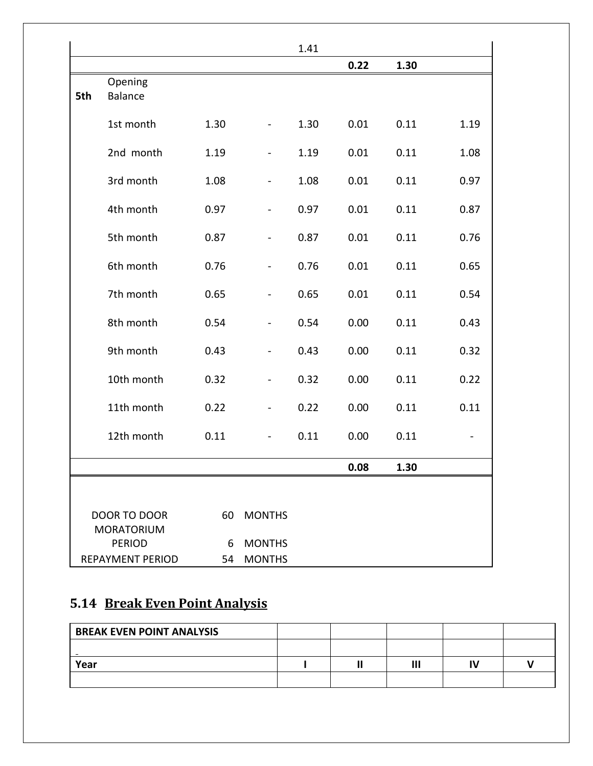|     |                                          |      |                          | 1.41 |      |      |      |
|-----|------------------------------------------|------|--------------------------|------|------|------|------|
|     |                                          |      |                          |      | 0.22 | 1.30 |      |
| 5th | Opening<br><b>Balance</b>                |      |                          |      |      |      |      |
|     | 1st month                                | 1.30 |                          | 1.30 | 0.01 | 0.11 | 1.19 |
|     | 2nd month                                | 1.19 |                          | 1.19 | 0.01 | 0.11 | 1.08 |
|     | 3rd month                                | 1.08 |                          | 1.08 | 0.01 | 0.11 | 0.97 |
|     | 4th month                                | 0.97 | $\blacksquare$           | 0.97 | 0.01 | 0.11 | 0.87 |
|     | 5th month                                | 0.87 | $\overline{\phantom{0}}$ | 0.87 | 0.01 | 0.11 | 0.76 |
|     | 6th month                                | 0.76 | $\overline{\phantom{0}}$ | 0.76 | 0.01 | 0.11 | 0.65 |
|     | 7th month                                | 0.65 | $\overline{\phantom{0}}$ | 0.65 | 0.01 | 0.11 | 0.54 |
|     | 8th month                                | 0.54 | $\overline{\phantom{0}}$ | 0.54 | 0.00 | 0.11 | 0.43 |
|     | 9th month                                | 0.43 | $\blacksquare$           | 0.43 | 0.00 | 0.11 | 0.32 |
|     | 10th month                               | 0.32 |                          | 0.32 | 0.00 | 0.11 | 0.22 |
|     | 11th month                               | 0.22 | $\blacksquare$           | 0.22 | 0.00 | 0.11 | 0.11 |
|     | 12th month                               | 0.11 | $\blacksquare$           | 0.11 | 0.00 | 0.11 |      |
|     |                                          |      |                          |      | 0.08 | 1.30 |      |
|     |                                          |      |                          |      |      |      |      |
|     | <b>DOOR TO DOOR</b><br><b>MORATORIUM</b> | 60   | <b>MONTHS</b>            |      |      |      |      |
|     | <b>PERIOD</b>                            | 6    | <b>MONTHS</b>            |      |      |      |      |
|     | <b>REPAYMENT PERIOD</b>                  | 54   | <b>MONTHS</b>            |      |      |      |      |

# **5.14 Break Even Point Analysis**

| <b>BREAK EVEN POINT ANALYSIS</b> |  |  |  |
|----------------------------------|--|--|--|
|                                  |  |  |  |
| Year                             |  |  |  |
|                                  |  |  |  |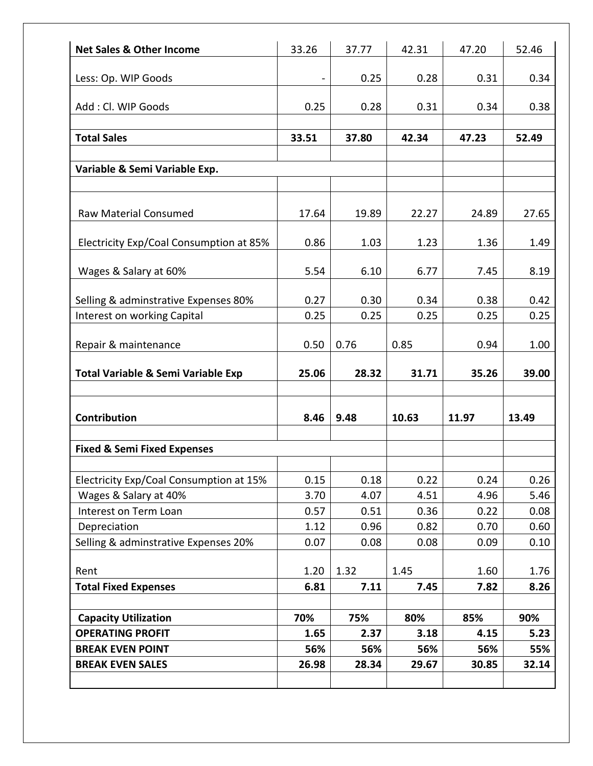| <b>Net Sales &amp; Other Income</b>                    | 33.26       | 37.77       | 42.31       | 47.20       | 52.46       |
|--------------------------------------------------------|-------------|-------------|-------------|-------------|-------------|
| Less: Op. WIP Goods                                    |             | 0.25        | 0.28        | 0.31        | 0.34        |
|                                                        |             |             |             |             |             |
| Add: Cl. WIP Goods                                     | 0.25        | 0.28        | 0.31        | 0.34        | 0.38        |
|                                                        |             |             |             |             |             |
| <b>Total Sales</b>                                     | 33.51       | 37.80       | 42.34       | 47.23       | 52.49       |
|                                                        |             |             |             |             |             |
| Variable & Semi Variable Exp.                          |             |             |             |             |             |
|                                                        |             |             |             |             |             |
| <b>Raw Material Consumed</b>                           | 17.64       | 19.89       | 22.27       | 24.89       | 27.65       |
|                                                        |             |             |             |             |             |
| Electricity Exp/Coal Consumption at 85%                | 0.86        | 1.03        | 1.23        | 1.36        | 1.49        |
|                                                        |             |             |             |             |             |
| Wages & Salary at 60%                                  | 5.54        | 6.10        | 6.77        | 7.45        | 8.19        |
| Selling & adminstrative Expenses 80%                   | 0.27        | 0.30        | 0.34        | 0.38        | 0.42        |
| Interest on working Capital                            | 0.25        | 0.25        | 0.25        | 0.25        | 0.25        |
|                                                        |             |             |             |             |             |
| Repair & maintenance                                   | 0.50        | 0.76        | 0.85        | 0.94        | 1.00        |
| Total Variable & Semi Variable Exp                     | 25.06       | 28.32       | 31.71       | 35.26       | 39.00       |
| <b>Contribution</b>                                    | 8.46        | 9.48        | 10.63       | 11.97       | 13.49       |
|                                                        |             |             |             |             |             |
| <b>Fixed &amp; Semi Fixed Expenses</b>                 |             |             |             |             |             |
| Electricity Exp/Coal Consumption at 15%                | 0.15        | 0.18        | 0.22        | 0.24        | 0.26        |
| Wages & Salary at 40%                                  | 3.70        | 4.07        | 4.51        | 4.96        | 5.46        |
| Interest on Term Loan                                  | 0.57        | 0.51        | 0.36        | 0.22        | 0.08        |
| Depreciation                                           | 1.12        | 0.96        | 0.82        | 0.70        | 0.60        |
| Selling & adminstrative Expenses 20%                   | 0.07        | 0.08        | 0.08        | 0.09        | 0.10        |
|                                                        |             |             |             |             |             |
| Rent                                                   | 1.20        | 1.32        | 1.45        | 1.60        | 1.76        |
| <b>Total Fixed Expenses</b>                            | 6.81        | 7.11        | 7.45        | 7.82        | 8.26        |
|                                                        |             |             |             |             |             |
|                                                        |             |             |             |             |             |
| <b>Capacity Utilization</b><br><b>OPERATING PROFIT</b> | 70%<br>1.65 | 75%<br>2.37 | 80%<br>3.18 | 85%<br>4.15 | 90%<br>5.23 |
| <b>BREAK EVEN POINT</b>                                | 56%         | 56%         | 56%         | 56%         | 55%         |
| <b>BREAK EVEN SALES</b>                                | 26.98       | 28.34       | 29.67       | 30.85       | 32.14       |